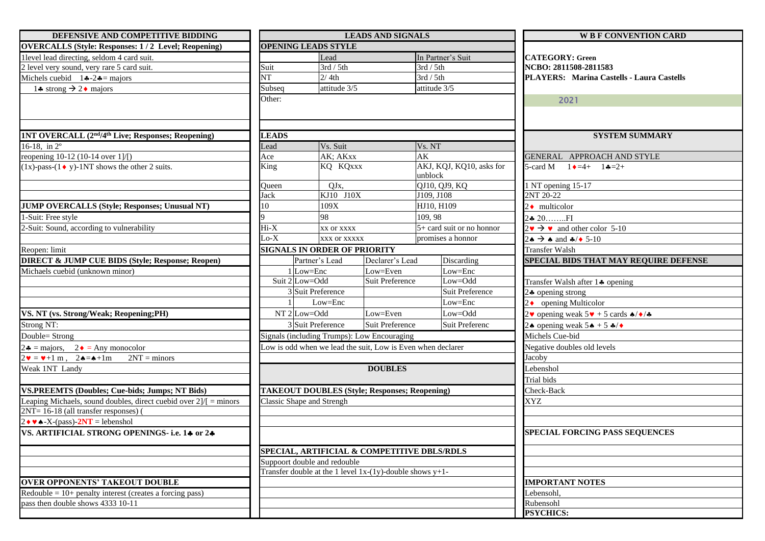| DEFENSIVE AND COMPETITIVE BIDDING                                                                    |                        |                                                                | <b>LEADS AND SIGNALS</b> |                                     | <b>W B F CONVENTION CARD</b>                                 |  |
|------------------------------------------------------------------------------------------------------|------------------------|----------------------------------------------------------------|--------------------------|-------------------------------------|--------------------------------------------------------------|--|
| <b>OVERCALLS (Style: Responses: 1/2 Level; Reopening)</b>                                            |                        | <b>OPENING LEADS STYLE</b>                                     |                          |                                     |                                                              |  |
| 1level lead directing, seldom 4 card suit.                                                           |                        | Lead                                                           |                          | In Partner's Suit                   | <b>CATEGORY: Green</b>                                       |  |
| 2 level very sound, very rare 5 card suit.                                                           | Suit                   | 3rd / 5th                                                      |                          | $3rd/5th$                           | NCBO: 2811508-2811583                                        |  |
| Michels cuebid $14 - 24 =$ majors                                                                    | $\overline{\text{NT}}$ | 2/4th                                                          |                          | 3rd / 5th                           | PLAYERS: Marina Castells - Laura Castells                    |  |
| 14 strong $\rightarrow$ 24 majors                                                                    | Subseq                 | attitude 3/5                                                   |                          | attitude 3/5                        |                                                              |  |
|                                                                                                      | Other:                 |                                                                |                          |                                     | 2021                                                         |  |
|                                                                                                      |                        |                                                                |                          |                                     |                                                              |  |
|                                                                                                      |                        |                                                                |                          |                                     |                                                              |  |
| 1NT OVERCALL (2 <sup>nd</sup> /4 <sup>th</sup> Live; Responses; Reopening)                           | <b>LEADS</b>           |                                                                |                          |                                     | <b>SYSTEM SUMMARY</b>                                        |  |
| 16-18, in $2^{\circ}$                                                                                | Lead                   | Vs. Suit                                                       |                          | Vs. NT                              |                                                              |  |
| reopening 10-12 (10-14 over 1]/[)                                                                    | Ace                    | AK; AKxx                                                       |                          | AK                                  | GENERAL APPROACH AND STYLE                                   |  |
| $(1x)$ -pass- $(1 \cdot y)$ -1NT shows the other 2 suits.                                            | King                   | KQ KQxxx                                                       |                          | AKJ, KQJ, KQ10, asks for<br>unblock | 5-card M $1 \bullet = 4 + 1 \bullet = 2 +$                   |  |
|                                                                                                      | Oueen                  | QJx,                                                           |                          | QJ10, QJ9, KQ                       | 1 NT opening 15-17                                           |  |
|                                                                                                      | Jack                   | KJ10 J10X                                                      |                          | J109, J108                          | 2NT 20-22                                                    |  |
| <b>JUMP OVERCALLS (Style; Responses; Unusual NT)</b>                                                 | 10                     | 109X                                                           |                          | HJ10, H109                          | $2 \cdot$ multicolor                                         |  |
| 1-Suit: Free style                                                                                   |                        | 98                                                             |                          | 109, 98                             | 24 20FI                                                      |  |
| 2-Suit: Sound, according to vulnerability                                                            | $Hi-X$                 | <b>xx or xxxx</b>                                              |                          | $5+$ card suit or no honnor         | $2 \cdot \rightarrow \bullet$ and other color 5-10           |  |
|                                                                                                      | $Lo-X$                 | XXX OF XXXXX                                                   |                          | promises a honnor                   | $2 \bullet \rightarrow \bullet$ and $\clubsuit/\bullet$ 5-10 |  |
| Reopen: limit                                                                                        |                        | <b>SIGNALS IN ORDER OF PRIORITY</b>                            |                          |                                     | <b>Transfer Walsh</b>                                        |  |
| <b>DIRECT &amp; JUMP CUE BIDS (Style; Response; Reopen)</b>                                          |                        | Partner's Lead                                                 | Declarer's Lead          | <b>Discarding</b>                   | SPECIAL BIDS THAT MAY REQUIRE DEFENSE                        |  |
| Michaels cuebid (unknown minor)                                                                      |                        | $1$ Low=Enc                                                    | Low=Even                 | Low=Enc                             |                                                              |  |
|                                                                                                      |                        | Suit 2 Low=Odd                                                 | Suit Preference          | Low=Odd                             | Transfer Walsh after 14 opening                              |  |
|                                                                                                      |                        | 3 Suit Preference                                              |                          | Suit Preference                     | $2\clubsuit$ opening strong                                  |  |
|                                                                                                      |                        | Low=Enc                                                        |                          | Low=Enc                             | $2\bullet$ opening Multicolor                                |  |
| VS. NT (vs. Strong/Weak; Reopening;PH)                                                               |                        | $NT2$ Low=Odd                                                  | Low=Even                 | Low=Odd                             | 2. opening weak $5 \vee 5 \operatorname{card} 6 \triangle 7$ |  |
| Strong NT:                                                                                           |                        | 3 Suit Preference                                              | Suit Preference          | Suit Preferenc                      | 24 opening weak $5 \cdot 5 \cdot 5 \cdot 6$                  |  |
| Double= Strong                                                                                       |                        | Signals (including Trumps): Low Encouraging                    |                          |                                     | Michels Cue-bid                                              |  |
| $2\bullet$ = majors, $2\bullet$ = Any monocolor                                                      |                        | Low is odd when we lead the suit, Low is Even when declarer    |                          |                                     | Negative doubles old levels                                  |  |
| $2\mathbf{v} = \mathbf{v} + 1 \text{ m}$ , $2\mathbf{A} = \mathbf{A} + 1\text{ m}$<br>$2NT =$ minors |                        |                                                                |                          |                                     | Jacoby                                                       |  |
| Weak 1NT Landy                                                                                       | <b>DOUBLES</b>         |                                                                |                          |                                     | Lebenshol                                                    |  |
|                                                                                                      |                        |                                                                |                          |                                     | Trial bids                                                   |  |
| VS.PREEMTS (Doubles; Cue-bids; Jumps; NT Bids)                                                       |                        | <b>TAKEOUT DOUBLES (Style; Responses; Reopening)</b>           |                          |                                     | Check-Back                                                   |  |
| Leaping Michaels, sound doubles, direct cuebid over $2/1 =$ minors                                   |                        | Classic Shape and Strengh                                      |                          |                                     | <b>XYZ</b>                                                   |  |
| 2NT= 16-18 (all transfer responses) (                                                                |                        |                                                                |                          |                                     |                                                              |  |
| $2 \cdot \cdot \cdot$ A-X-(pass)-2NT = lebenshol                                                     |                        |                                                                |                          |                                     |                                                              |  |
| VS. ARTIFICIAL STRONG OPENINGS- i.e. 14 or 24                                                        |                        |                                                                |                          |                                     | <b>SPECIAL FORCING PASS SEOUENCES</b>                        |  |
|                                                                                                      |                        | SPECIAL, ARTIFICIAL & COMPETITIVE DBLS/RDLS                    |                          |                                     |                                                              |  |
|                                                                                                      |                        | Suppoort double and redouble                                   |                          |                                     |                                                              |  |
|                                                                                                      |                        | Transfer double at the 1 level $1x-(1y)$ -double shows $y+1$ - |                          |                                     |                                                              |  |
| <b>OVER OPPONENTS' TAKEOUT DOUBLE</b>                                                                |                        |                                                                |                          |                                     | <b>IMPORTANT NOTES</b>                                       |  |
| $\text{Redouble} = 10 + \text{penalty}$ interest (creates a forcing pass)                            |                        |                                                                |                          |                                     | Lebensohl,                                                   |  |
| pass then double shows 4333 10-11                                                                    |                        |                                                                |                          |                                     | Rubensohl                                                    |  |
|                                                                                                      |                        |                                                                |                          |                                     | <b>PSYCHICS:</b>                                             |  |